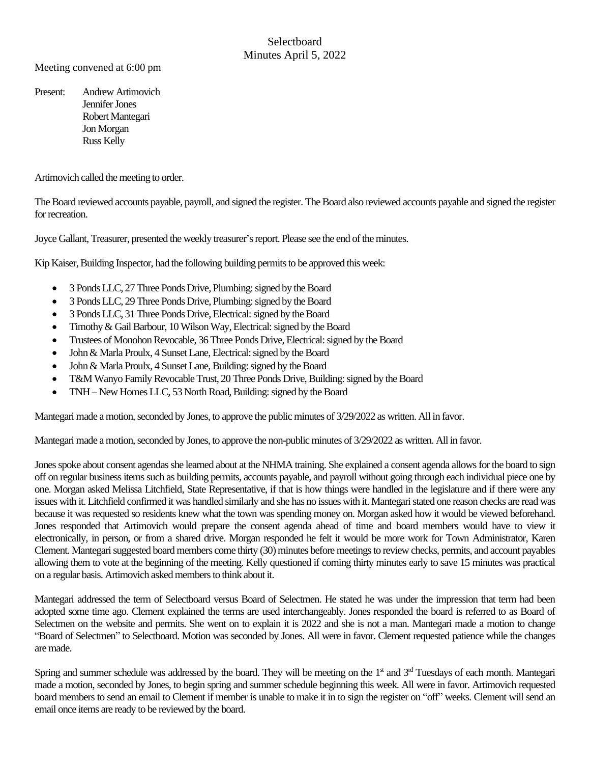## **Selectboard** Minutes April 5, 2022

Meeting convened at 6:00 pm

Present: Andrew Artimovich Jennifer Jones Robert Mantegari Jon Morgan Russ Kelly

Artimovich called the meeting to order.

The Board reviewed accounts payable, payroll, and signed the register. The Board also reviewed accounts payable and signed the register for recreation.

Joyce Gallant, Treasurer, presented the weekly treasurer's report. Please see the end of theminutes.

Kip Kaiser, Building Inspector, had the following building permits to be approved this week:

- 3 Ponds LLC, 27 Three Ponds Drive, Plumbing: signed by the Board
- 3 Ponds LLC, 29 Three Ponds Drive, Plumbing: signed by the Board
- 3 Ponds LLC, 31 Three Ponds Drive, Electrical: signed by the Board
- Timothy & Gail Barbour, 10 Wilson Way, Electrical: signed by the Board
- Trustees of Monohon Revocable, 36 Three Ponds Drive, Electrical: signed by the Board
- John & Marla Proulx, 4 Sunset Lane, Electrical: signed by the Board
- John & Marla Proulx, 4 Sunset Lane, Building: signed by the Board
- T&M Wanyo Family Revocable Trust, 20 Three Ponds Drive, Building: signed by the Board
- TNH New Homes LLC, 53 North Road, Building: signed by the Board

Mantegari made a motion, seconded by Jones, to approve the public minutes of 3/29/2022 as written. All in favor.

Mantegari made a motion, seconded by Jones, to approve the non-public minutes of 3/29/2022 as written. All in favor.

Jones spoke about consent agendas she learned about at the NHMA training. She explained a consent agenda allows for the board to sign off on regular business itemssuch as building permits, accounts payable, and payroll without going through each individual piece one by one. Morgan asked Melissa Litchfield, State Representative, if that is how things were handled in the legislature and if there were any issues with it. Litchfield confirmed it was handled similarly and she has no issues with it. Mantegaristated one reason checks are read was because it was requested so residents knew what the town was spending money on. Morgan asked how it would be viewed beforehand. Jones responded that Artimovich would prepare the consent agenda ahead of time and board members would have to view it electronically, in person, or from a shared drive. Morgan responded he felt it would be more work for Town Administrator, Karen Clement. Mantegari suggested board members come thirty (30) minutes before meetings to review checks, permits, and account payables allowing them to vote at the beginning of the meeting. Kelly questioned if coming thirty minutes early to save 15 minutes was practical on a regular basis. Artimovich asked members to think about it.

Mantegari addressed the term of Selectboard versus Board of Selectmen. He stated he was under the impression that term had been adopted some time ago. Clement explained the terms are used interchangeably. Jones responded the board is referred to as Board of Selectmen on the website and permits. She went on to explain it is 2022 and she is not a man. Mantegari made a motion to change "Board of Selectmen" to Selectboard. Motion was seconded by Jones. All were in favor. Clement requested patience while the changes are made.

Spring and summer schedule was addressed by the board. They will be meeting on the  $1<sup>st</sup>$  and  $3<sup>rd</sup>$  Tuesdays of each month. Mantegari made a motion, seconded by Jones, to begin spring and summer schedule beginning this week. All were in favor. Artimovich requested board members to send an email to Clement if member is unable to make it in to sign the register on "off" weeks. Clement will send an email once items are ready to be reviewed by the board.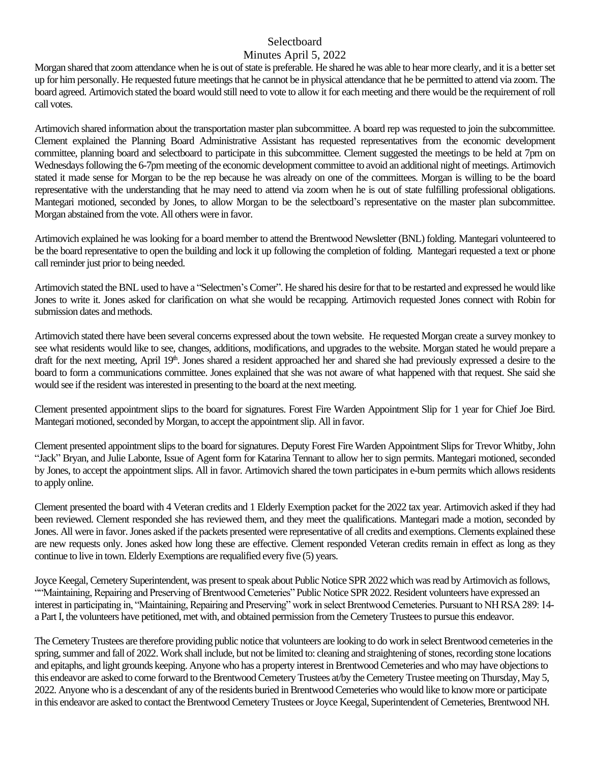### **Selectboard**

#### Minutes April 5, 2022

Morgan shared that zoom attendance when he is out of state is preferable. He shared he was able to hear more clearly, and it is a better set up for him personally. He requested future meetings that he cannot be in physical attendance that he be permitted to attend via zoom. The board agreed. Artimovich stated the board would still need to vote to allow it for each meeting and there would be the requirement of roll call votes.

Artimovich shared information about the transportation master plan subcommittee. A board rep was requested to join the subcommittee. Clement explained the Planning Board Administrative Assistant has requested representatives from the economic development committee, planning board and selectboard to participate in this subcommittee. Clement suggested the meetings to be held at 7pm on Wednesdays following the 6-7pm meeting of the economic development committee to avoid an additional night of meetings. Artimovich stated it made sense for Morgan to be the rep because he was already on one of the committees. Morgan is willing to be the board representative with the understanding that he may need to attend via zoom when he is out of state fulfilling professional obligations. Mantegari motioned, seconded by Jones, to allow Morgan to be the selectboard's representative on the master plan subcommittee. Morgan abstained from the vote. All others were in favor.

Artimovich explained he was looking for a board member to attend the Brentwood Newsletter (BNL) folding. Mantegari volunteered to be the board representative to open the building and lock it up following the completion of folding. Mantegari requested a text or phone call reminder just prior to being needed.

Artimovich stated the BNL used to have a "Selectmen's Corner". He shared his desire for that to be restarted and expressed he would like Jones to write it. Jones asked for clarification on what she would be recapping. Artimovich requested Jones connect with Robin for submission dates and methods.

Artimovich stated there have been several concerns expressed about the town website. He requested Morgan create a survey monkey to see what residents would like to see, changes, additions, modifications, and upgrades to the website. Morgan stated he would prepare a draft for the next meeting, April 19<sup>th</sup>. Jones shared a resident approached her and shared she had previously expressed a desire to the board to form a communications committee. Jones explained that she was not aware of what happened with that request. She said she would see if the resident was interested in presenting to the board at the next meeting.

Clement presented appointment slips to the board for signatures. Forest Fire Warden Appointment Slip for 1 year for Chief Joe Bird. Mantegari motioned, seconded by Morgan, to accept the appointment slip. All in favor.

Clement presented appointment slips to the board for signatures. Deputy Forest Fire Warden Appointment Slipsfor Trevor Whitby, John "Jack" Bryan, and Julie Labonte, Issue of Agent form for Katarina Tennant to allow her to sign permits. Mantegari motioned, seconded by Jones, to accept the appointment slips. All in favor. Artimovich shared the town participatesin e-burn permits which allows residents to apply online.

Clement presented the board with 4 Veteran credits and 1 Elderly Exemption packet for the 2022 tax year. Artimovich asked if they had been reviewed. Clement responded she has reviewed them, and they meet the qualifications. Mantegari made a motion, seconded by Jones. All were in favor. Jones asked if the packets presented were representative of all credits and exemptions. Clements explained these are new requests only. Jones asked how long these are effective. Clement responded Veteran credits remain in effect as long as they continue to live in town. Elderly Exemptions are requalified every five (5) years.

Joyce Keegal, Cemetery Superintendent, was present to speak about Public Notice SPR 2022 which was read by Artimovich as follows, ""Maintaining, Repairing and Preserving of Brentwood Cemeteries" Public Notice SPR 2022. Resident volunteers have expressed an interest in participating in, "Maintaining, Repairing and Preserving" work in select Brentwood Cemeteries. Pursuant to NH RSA 289: 14 a Part I, the volunteers have petitioned, met with, and obtained permission from the Cemetery Trustees to pursue this endeavor.

The Cemetery Trustees are therefore providing public notice that volunteers are looking to do work in select Brentwood cemeteries in the spring, summer and fall of 2022. Work shall include, but not be limited to: cleaning and straightening of stones, recording stone locations and epitaphs, and light grounds keeping. Anyone who has a property interest in Brentwood Cemeteries and who may have objections to this endeavor are asked to come forward to the Brentwood Cemetery Trustees at/by the Cemetery Trustee meeting on Thursday, May 5, 2022. Anyone who is a descendant of any of the residents buried in Brentwood Cemeteries who would like to know more or participate in this endeavor are asked to contact the Brentwood Cemetery Trustees or Joyce Keegal, Superintendent of Cemeteries, Brentwood NH.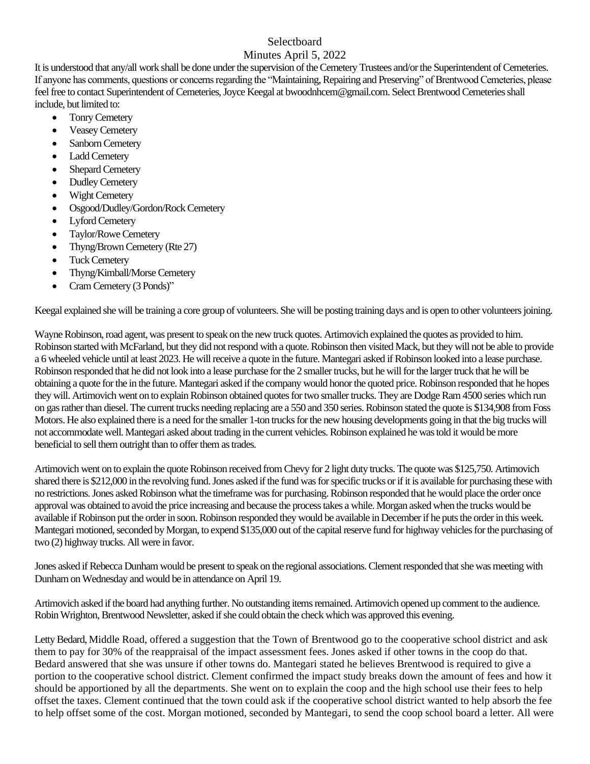# Selectboard

### Minutes April 5, 2022

It is understood that any/all work shall be done under the supervision of the Cemetery Trustees and/or the Superintendent of Cemeteries. If anyone has comments, questions or concerns regarding the "Maintaining, Repairing and Preserving" of Brentwood Cemeteries, please feel free to contact Superintendent of Cemeteries, Joyce Keegal at [bwoodnhcem@gmail.com.](mailto:bwoodnhcem@gmail.com) Select Brentwood Cemeteries shall include, but limited to:

- Tonry Cemetery
- **Veasey Cemetery**
- Sanborn Cemetery
- Ladd Cemetery
- Shepard Cemetery
- Dudley Cemetery
- **Wight Cemetery**
- Osgood/Dudley/Gordon/Rock Cemetery
- Lyford Cemetery
- Taylor/Rowe Cemetery
- Thyng/Brown Cemetery (Rte 27)
- Tuck Cemetery
- Thyng/Kimball/Morse Cemetery
- Cram Cemetery (3 Ponds)"

Keegal explained she will be training a core group of volunteers. She will be posting training days and is open to other volunteers joining.

Wayne Robinson, road agent,was present to speak on the new truck quotes. Artimovich explained the quotes as provided to him. Robinson started with McFarland, but they did not respond with a quote. Robinson then visited Mack, but they will not be able to provide a 6 wheeled vehicle until at least 2023. He will receive a quote in the future. Mantegari asked if Robinson looked into a lease purchase. Robinson responded that he did not look into a lease purchase for the 2 smaller trucks, but he will for the larger truck that he will be obtaining a quote for the in the future. Mantegari asked if the company would honor the quoted price. Robinson responded that he hopes they will. Artimovich went on to explain Robinson obtained quotes for two smaller trucks. They are Dodge Ram 4500 series which run on gas rather than diesel.The current trucks needing replacing are a 550 and 350 series.Robinson stated the quote is \$134,908 from Foss Motors. He also explained there is a need for the smaller 1-ton trucks for the new housing developments going in that the big trucks will not accommodate well. Mantegari asked about trading in the current vehicles. Robinson explained he was told it would be more beneficial to sell them outright than to offer them as trades.

Artimovich went on to explain the quote Robinson received from Chevy for 2 light duty trucks. The quote was \$125,750. Artimovich shared there is \$212,000 in the revolving fund. Jones asked if the fund was for specific trucks or if it is available for purchasing these with no restrictions. Jones asked Robinson what the timeframe was for purchasing. Robinson responded that he would place the order once approval was obtained to avoid the price increasing and because the process takes a while. Morgan asked when the trucks would be available if Robinson put the order in soon. Robinson responded they would be available in December if he puts the order in this week. Mantegari motioned, seconded by Morgan, to expend \$135,000 out of the capital reserve fund for highway vehicles for the purchasing of two (2) highway trucks. All were in favor.

Jones asked if Rebecca Dunham would be present to speak on the regional associations. Clement responded that she was meeting with Dunham on Wednesday and would be in attendance on April 19.

Artimovich asked if the board had anything further. No outstanding items remained. Artimovich opened up comment to the audience. Robin Wrighton, Brentwood Newsletter, asked if she could obtain the check which was approved this evening.

Letty Bedard, Middle Road, offered a suggestion that the Town of Brentwood go to the cooperative school district and ask them to pay for 30% of the reappraisal of the impact assessment fees. Jones asked if other towns in the coop do that. Bedard answered that she was unsure if other towns do. Mantegari stated he believes Brentwood is required to give a portion to the cooperative school district. Clement confirmed the impact study breaks down the amount of fees and how it should be apportioned by all the departments. She went on to explain the coop and the high school use their fees to help offset the taxes. Clement continued that the town could ask if the cooperative school district wanted to help absorb the fee to help offset some of the cost. Morgan motioned, seconded by Mantegari, to send the coop school board a letter. All were